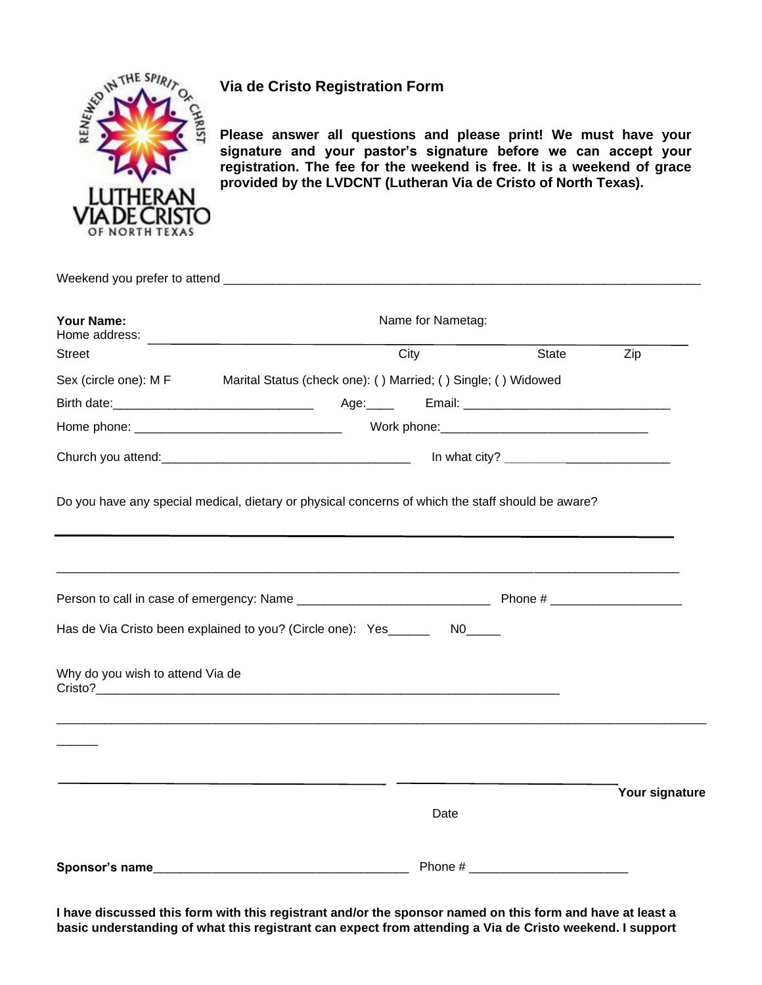

## **Via de Cristo Registration Form**

**Please answer all questions and please print! We must have your signature and your pastor's signature before we can accept your registration. The fee for the weekend is free. It is a weekend of grace provided by the LVDCNT (Lutheran Via de Cristo of North Texas).**

| Your Name:<br>Home address:                                                                       | <u> 1989 - Johann Stein, mars an deus Amerikaansk kommunister (</u> |      | Name for Nametag: |                      |                |
|---------------------------------------------------------------------------------------------------|---------------------------------------------------------------------|------|-------------------|----------------------|----------------|
| <b>Street</b>                                                                                     |                                                                     | City |                   | State                | Zip            |
| Sex (circle one): M F Marital Status (check one): () Married; () Single; () Widowed               |                                                                     |      |                   |                      |                |
|                                                                                                   |                                                                     |      |                   |                      |                |
|                                                                                                   |                                                                     |      |                   |                      |                |
|                                                                                                   |                                                                     |      |                   |                      |                |
| Do you have any special medical, dietary or physical concerns of which the staff should be aware? |                                                                     |      |                   |                      |                |
|                                                                                                   |                                                                     |      |                   |                      |                |
|                                                                                                   |                                                                     |      |                   |                      |                |
| Has de Via Cristo been explained to you? (Circle one): Yes________ N0_____                        |                                                                     |      |                   |                      |                |
| Why do you wish to attend Via de                                                                  |                                                                     |      |                   |                      |                |
|                                                                                                   |                                                                     |      |                   |                      |                |
|                                                                                                   |                                                                     |      |                   |                      | Your signature |
|                                                                                                   |                                                                     |      | Date              |                      |                |
| Sponsor's name                                                                                    |                                                                     |      |                   | Phone # Phone # 2009 |                |

**I have discussed this form with this registrant and/or the sponsor named on this form and have at least a basic understanding of what this registrant can expect from attending a Via de Cristo weekend. I support**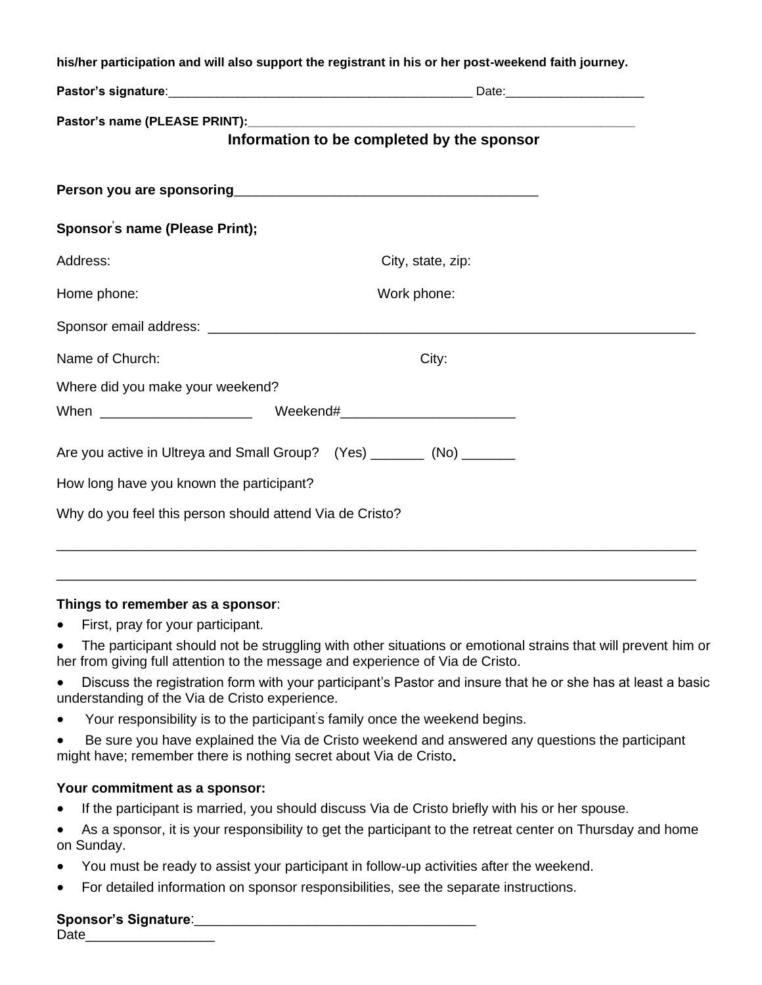|                                                          | his/her participation and will also support the registrant in his or her post-weekend faith journey. |
|----------------------------------------------------------|------------------------------------------------------------------------------------------------------|
|                                                          |                                                                                                      |
|                                                          |                                                                                                      |
|                                                          | Information to be completed by the sponsor                                                           |
|                                                          |                                                                                                      |
| Sponsor's name (Please Print);                           |                                                                                                      |
| Address:                                                 | City, state, zip:                                                                                    |
| Home phone:                                              | Work phone:                                                                                          |
|                                                          |                                                                                                      |
| Name of Church:                                          | City:                                                                                                |
| Where did you make your weekend?                         |                                                                                                      |
| When _________________________                           | Weekend#________________________________                                                             |
|                                                          | Are you active in Ultreya and Small Group? (Yes) ________ (No) _______                               |
| How long have you known the participant?                 |                                                                                                      |
| Why do you feel this person should attend Via de Cristo? |                                                                                                      |
|                                                          |                                                                                                      |

## **Things to remember as a sponsor**:

- **●** First, pray for your participant.
- **●** The participant should not be struggling with other situations or emotional strains that will prevent him or her from giving full attention to the message and experience of Via de Cristo.

\_\_\_\_\_\_\_\_\_\_\_\_\_\_\_\_\_\_\_\_\_\_\_\_\_\_\_\_\_\_\_\_\_\_\_\_\_\_\_\_\_\_\_\_\_\_\_\_\_\_\_\_\_\_\_\_\_\_\_\_\_\_\_\_\_\_\_\_\_\_\_\_\_\_\_\_\_\_\_\_\_\_\_\_

- **●** Discuss the registration form with your participant's Pastor and insure that he or she has at least a basic understanding of the Via de Cristo experience.
- Your responsibility is to the participant's family once the weekend begins.
- Be sure you have explained the Via de Cristo weekend and answered any questions the participant might have; remember there is nothing secret about Via de Cristo**.**

## **Your commitment as a sponsor:**

- **●** If the participant is married, you should discuss Via de Cristo briefly with his or her spouse.
- **●** As a sponsor, it is your responsibility to get the participant to the retreat center on Thursday and home on Sunday.
- **●** You must be ready to assist your participant in follow-up activities after the weekend.
- For detailed information on sponsor responsibilities, see the separate instructions.

## **Sponsor's Signature**:\_\_\_\_\_\_\_\_\_\_\_\_\_\_\_\_\_\_\_\_\_\_\_\_\_\_\_\_\_\_\_\_\_\_\_\_\_

Date